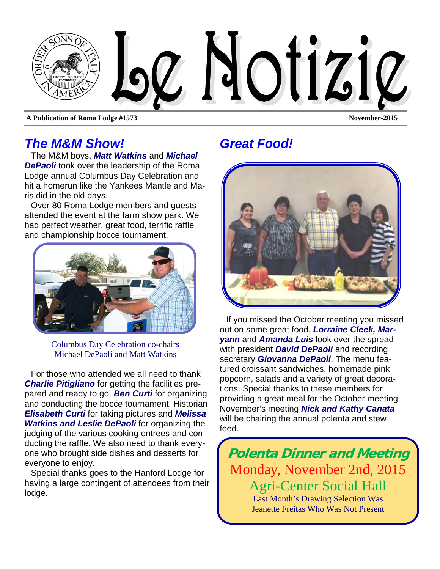

**A Publication of Roma Lodge #1573 November-2015** 

### *The M&M Show!*

The M&M boys, *Matt Watkins* and *Michael DePaoli* took over the leadership of the Roma Lodge annual Columbus Day Celebration and hit a homerun like the Yankees Mantle and Maris did in the old days.

Over 80 Roma Lodge members and guests attended the event at the farm show park. We had perfect weather, great food, terrific raffle and championship bocce tournament.



Columbus Day Celebration co-chairs Michael DePaoli and Matt Watkins

For those who attended we all need to thank *Charlie Pitigliano* for getting the facilities prepared and ready to go. *Ben Curti* for organizing and conducting the bocce tournament. Historian *Elisabeth Curti* for taking pictures and *Melissa Watkins and Leslie DePaoli* for organizing the judging of the various cooking entrees and conducting the raffle. We also need to thank everyone who brought side dishes and desserts for everyone to enjoy.

Special thanks goes to the Hanford Lodge for having a large contingent of attendees from their lodge.

# *Great Food!*



If you missed the October meeting you missed out on some great food. *Lorraine Cleek, Maryann* and *Amanda Luis* look over the spread with president *David DePaoli* and recording secretary *Giovanna DePaoli*. The menu featured croissant sandwiches, homemade pink popcorn, salads and a variety of great decorations. Special thanks to these members for providing a great meal for the October meeting. November's meeting *Nick and Kathy Canata*  will be chairing the annual polenta and stew feed.

**Polenta Dinner and Meeting**  Monday, November 2nd, 2015 Agri-Center Social Hall Last Month's Drawing Selection Was Jeanette Freitas Who Was Not Present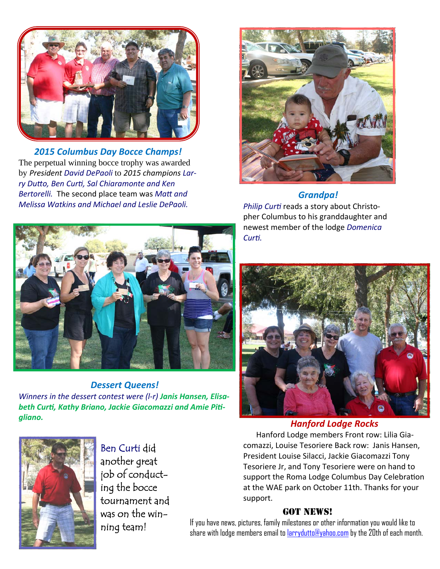

*2015 Columbus Day Bocce Champs!* The perpetual winning bocce trophy was awarded by *President David DePaoli* to *2015 champions Lar‐ ry DuƩo, Ben CurƟ, Sal Chiaramonte and Ken Bertorelli.* The second place team was *MaƩ and Melissa Watkins and Michael and Leslie DePaoli.* 



#### *Grandpa!*

*Philip CurƟ* reads a story about Christo‐ pher Columbus to his granddaughter and newest member of the lodge *Domenica CurƟ.* 



*Dessert Queens! Winners in the dessert contest were (l‐r) Janis Hansen, Elisa‐ beth CurƟ, Kathy Briano, Jackie Giacomazzi and Amie PiƟ‐ gliano. Hanford Lodge Rocks*



Hanford Lodge members Front row: Lilia Gia‐ comazzi, Louise Tesoriere Back row: Janis Hansen, President Louise Silacci, Jackie Giacomazzi Tony Tesoriere Jr, and Tony Tesoriere were on hand to support the Roma Lodge Columbus Day Celebration at the WAE park on October 11th. Thanks for your support.

#### **GOT NEWS!**



Ben Curti did another great job of conducting the bocce tournament and was on the winning team!

If you have news, pictures, family milestones or other information you would like to share with lodge members email to larrydutto@yahoo.com by the 20th of each month.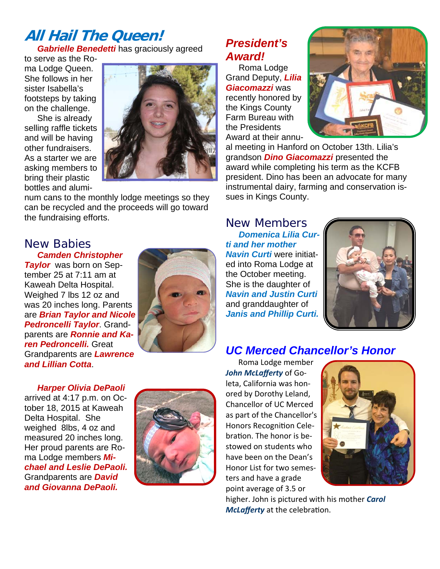### **All Hail The Queen!**  *Gabrielle Benedetti* has graciously agreed

to serve as the Roma Lodge Queen. She follows in her sister Isabella's footsteps by taking on the challenge.

She is already selling raffle tickets and will be having other fundraisers. As a starter we are asking members to bring their plastic bottles and alumi-



num cans to the monthly lodge meetings so they can be recycled and the proceeds will go toward the fundraising efforts.

#### New Babies *Camden Christopher*

*Taylor* was born on September 25 at 7:11 am at Kaweah Delta Hospital. Weighed 7 lbs 12 oz and was 20 inches long. Parents are *Brian Taylor and Nicole Pedroncelli Taylor*. Grandparents are *Ronnie and Karen Pedroncelli.* Great Grandparents are *Lawrence and Lillian Cotta*.



*President's Award!* 

Roma Lodge Grand Deputy, *Lilia Giacomazzi* was recently honored by the Kings County Farm Bureau with the Presidents Award at their annu-



al meeting in Hanford on October 13th. Lilia's grandson *Dino Giacomazzi* presented the award while completing his term as the KCFB president. Dino has been an advocate for many instrumental dairy, farming and conservation issues in Kings County.

New Members *Domenica Lilia Curti and her mother Navin Curti* were initiated into Roma Lodge at the October meeting. She is the daughter of *Navin and Justin Curti*  and granddaughter of *Janis and Phillip Curti.* 



# *UC Merced Chancellor's Honor*

*Harper Olivia DePaoli*  arrived at 4:17 p.m. on October 18, 2015 at Kaweah Delta Hospital. She weighed 8lbs, 4 oz and measured 20 inches long. Her proud parents are Roma Lodge members *Michael and Leslie DePaoli.*  Grandparents are *David and Giovanna DePaoli.* 



Roma Lodge member *John McLafferty* of Go‐ leta, California was hon‐ ored by Dorothy Leland, Chancellor of UC Merced as part of the Chancellor's Honors Recognition Celebration. The honor is bestowed on students who have been on the Dean's Honor List for two semes‐ ters and have a grade point average of 3.5 or



higher. John is pictured with his mother *Carol McLafferty* at the celebration.